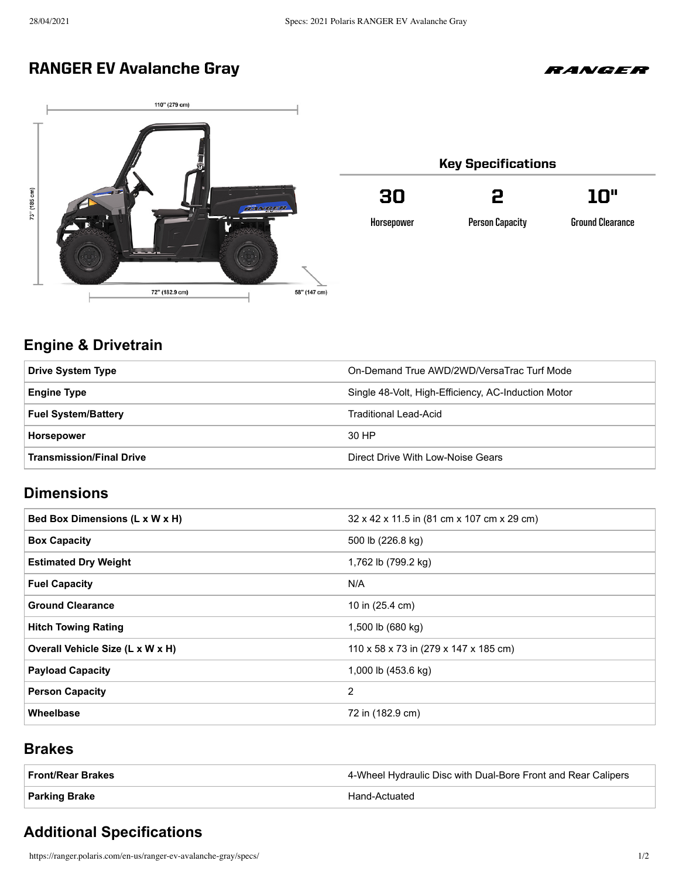## RANGER EV Avalanche Gray





# Key Specifications

2

10"

**Horsepower**

**Person Capacity** 

**Ground Clearance** 

## **Engine & Drivetrain**

| <b>Drive System Type</b>        | On-Demand True AWD/2WD/VersaTrac Turf Mode          |
|---------------------------------|-----------------------------------------------------|
| <b>Engine Type</b>              | Single 48-Volt, High-Efficiency, AC-Induction Motor |
| <b>Fuel System/Battery</b>      | Traditional Lead-Acid                               |
| <b>Horsepower</b>               | 30 HP                                               |
| <b>Transmission/Final Drive</b> | Direct Drive With Low-Noise Gears                   |

### **Dimensions**

| Bed Box Dimensions (L x W x H)   | 32 x 42 x 11.5 in (81 cm x 107 cm x 29 cm) |
|----------------------------------|--------------------------------------------|
| <b>Box Capacity</b>              | 500 lb (226.8 kg)                          |
| <b>Estimated Dry Weight</b>      | 1,762 lb (799.2 kg)                        |
| <b>Fuel Capacity</b>             | N/A                                        |
| <b>Ground Clearance</b>          | 10 in (25.4 cm)                            |
| <b>Hitch Towing Rating</b>       | 1,500 lb (680 kg)                          |
| Overall Vehicle Size (L x W x H) | 110 x 58 x 73 in (279 x 147 x 185 cm)      |
| <b>Payload Capacity</b>          | 1,000 lb (453.6 kg)                        |
| <b>Person Capacity</b>           | 2                                          |
| Wheelbase                        | 72 in (182.9 cm)                           |

#### **Brakes**

| Front/Rear Brakes | 4-Wheel Hydraulic Disc with Dual-Bore Front and Rear Calipers |
|-------------------|---------------------------------------------------------------|
| ∣ Parking Brake   | Hand-Actuated                                                 |

## **Additional Specifications**